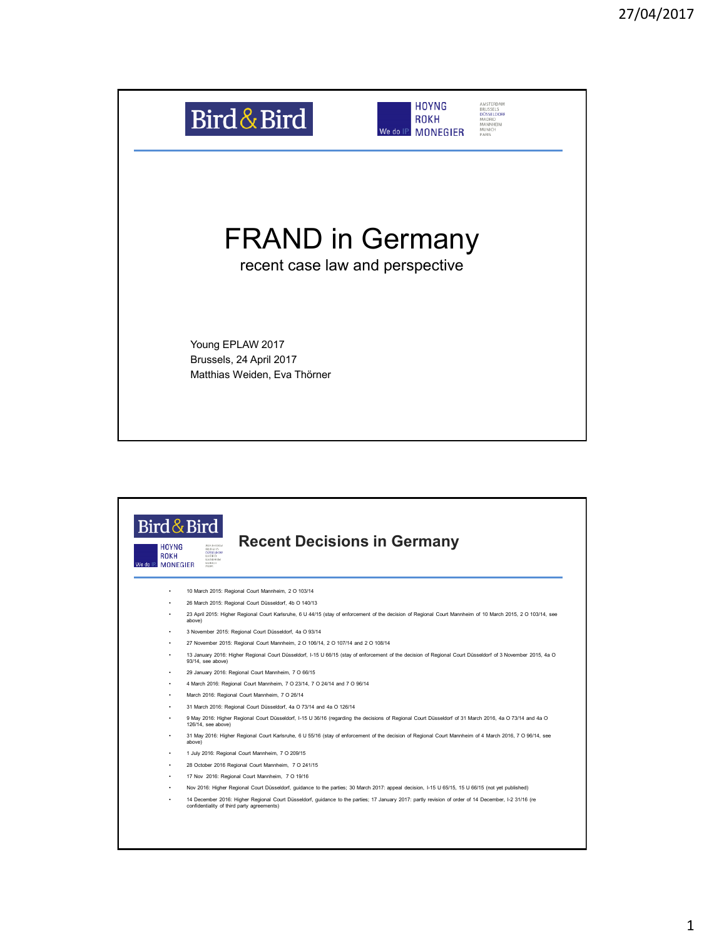

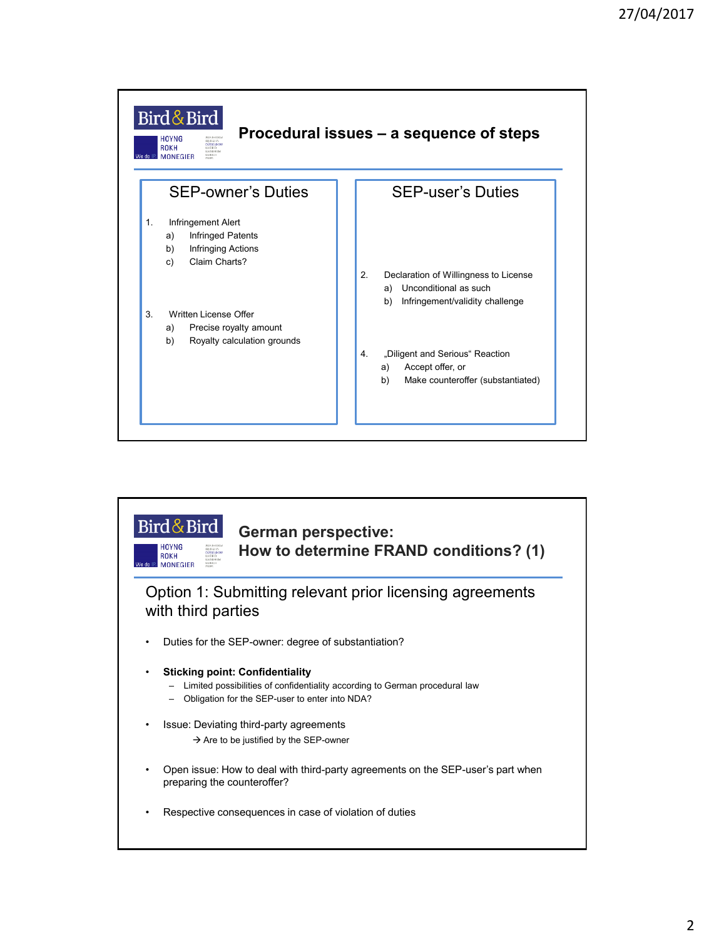

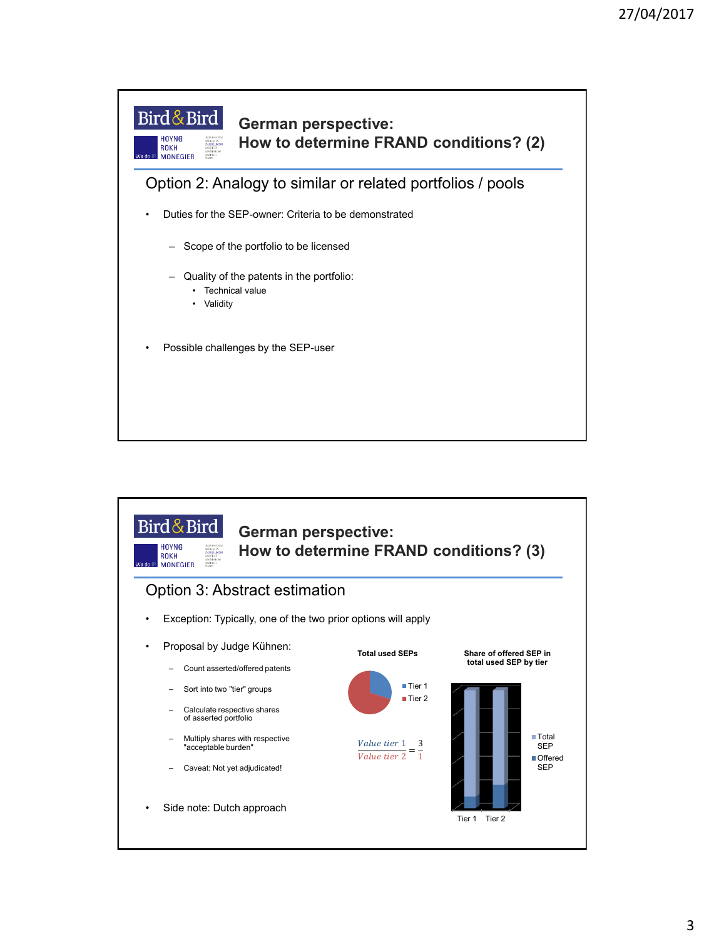

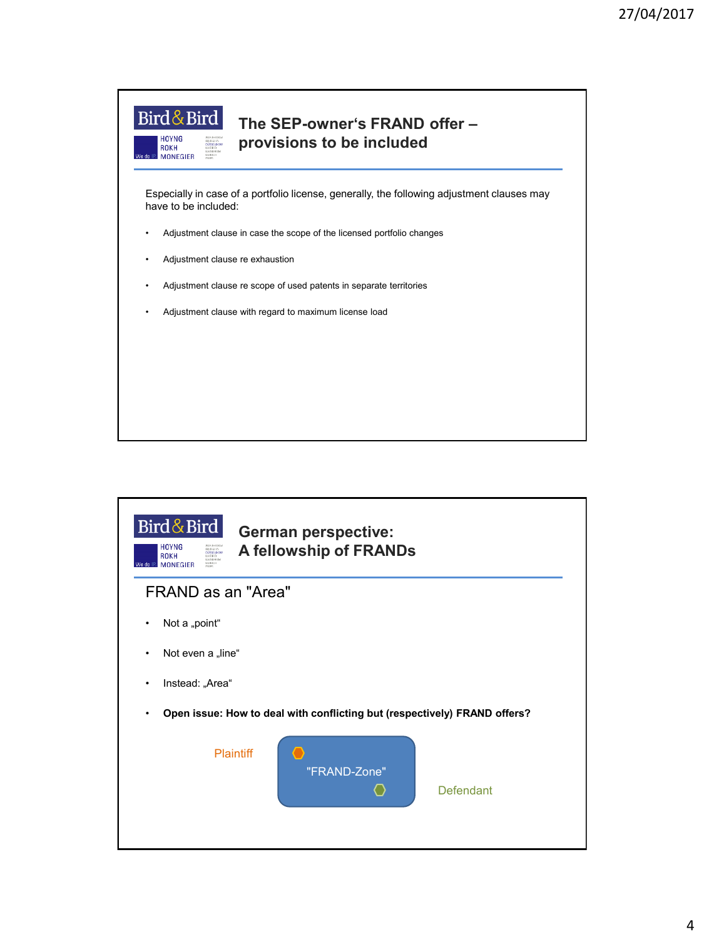